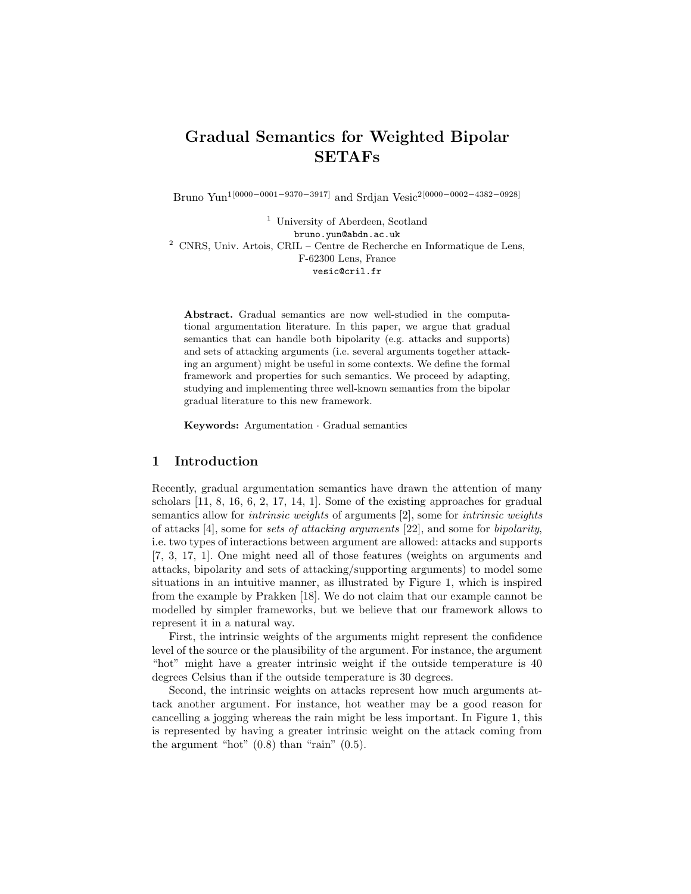# Gradual Semantics for Weighted Bipolar SETAFs

Bruno Yun1[0000−0001−9370−3917] and Srdjan Vesic2[0000−0002−4382−0928]

<sup>1</sup> University of Aberdeen, Scotland bruno.yun@abdn.ac.uk  $^2$  CNRS, Univ. Artois, CRIL – Centre de Recherche en Informatique de Lens, F-62300 Lens, France vesic@cril.fr

Abstract. Gradual semantics are now well-studied in the computational argumentation literature. In this paper, we argue that gradual semantics that can handle both bipolarity (e.g. attacks and supports) and sets of attacking arguments (i.e. several arguments together attacking an argument) might be useful in some contexts. We define the formal framework and properties for such semantics. We proceed by adapting, studying and implementing three well-known semantics from the bipolar gradual literature to this new framework.

Keywords: Argumentation · Gradual semantics

#### 1 Introduction

Recently, gradual argumentation semantics have drawn the attention of many scholars [11, 8, 16, 6, 2, 17, 14, 1]. Some of the existing approaches for gradual semantics allow for *intrinsic weights* of arguments [2], some for *intrinsic weights* of attacks  $[4]$ , some for sets of attacking arguments  $[22]$ , and some for bipolarity, i.e. two types of interactions between argument are allowed: attacks and supports [7, 3, 17, 1]. One might need all of those features (weights on arguments and attacks, bipolarity and sets of attacking/supporting arguments) to model some situations in an intuitive manner, as illustrated by Figure 1, which is inspired from the example by Prakken [18]. We do not claim that our example cannot be modelled by simpler frameworks, but we believe that our framework allows to represent it in a natural way.

First, the intrinsic weights of the arguments might represent the confidence level of the source or the plausibility of the argument. For instance, the argument "hot" might have a greater intrinsic weight if the outside temperature is 40 degrees Celsius than if the outside temperature is 30 degrees.

Second, the intrinsic weights on attacks represent how much arguments attack another argument. For instance, hot weather may be a good reason for cancelling a jogging whereas the rain might be less important. In Figure 1, this is represented by having a greater intrinsic weight on the attack coming from the argument "hot"  $(0.8)$  than "rain"  $(0.5)$ .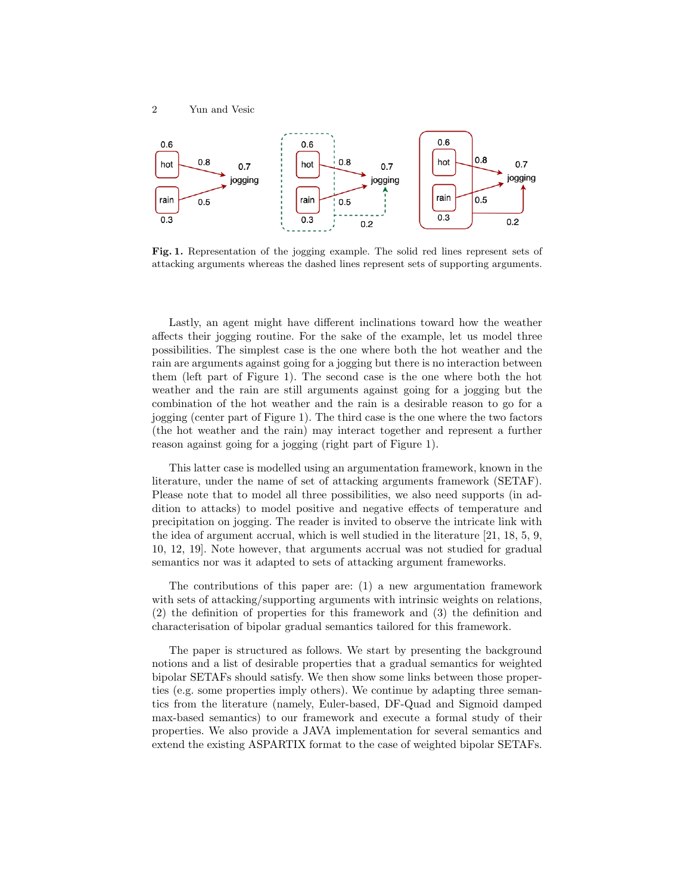

Fig. 1. Representation of the jogging example. The solid red lines represent sets of attacking arguments whereas the dashed lines represent sets of supporting arguments.

Lastly, an agent might have different inclinations toward how the weather affects their jogging routine. For the sake of the example, let us model three possibilities. The simplest case is the one where both the hot weather and the rain are arguments against going for a jogging but there is no interaction between them (left part of Figure 1). The second case is the one where both the hot weather and the rain are still arguments against going for a jogging but the combination of the hot weather and the rain is a desirable reason to go for a jogging (center part of Figure 1). The third case is the one where the two factors (the hot weather and the rain) may interact together and represent a further reason against going for a jogging (right part of Figure 1).

This latter case is modelled using an argumentation framework, known in the literature, under the name of set of attacking arguments framework (SETAF). Please note that to model all three possibilities, we also need supports (in addition to attacks) to model positive and negative effects of temperature and precipitation on jogging. The reader is invited to observe the intricate link with the idea of argument accrual, which is well studied in the literature [21, 18, 5, 9, 10, 12, 19]. Note however, that arguments accrual was not studied for gradual semantics nor was it adapted to sets of attacking argument frameworks.

The contributions of this paper are: (1) a new argumentation framework with sets of attacking/supporting arguments with intrinsic weights on relations, (2) the definition of properties for this framework and (3) the definition and characterisation of bipolar gradual semantics tailored for this framework.

The paper is structured as follows. We start by presenting the background notions and a list of desirable properties that a gradual semantics for weighted bipolar SETAFs should satisfy. We then show some links between those properties (e.g. some properties imply others). We continue by adapting three semantics from the literature (namely, Euler-based, DF-Quad and Sigmoid damped max-based semantics) to our framework and execute a formal study of their properties. We also provide a JAVA implementation for several semantics and extend the existing ASPARTIX format to the case of weighted bipolar SETAFs.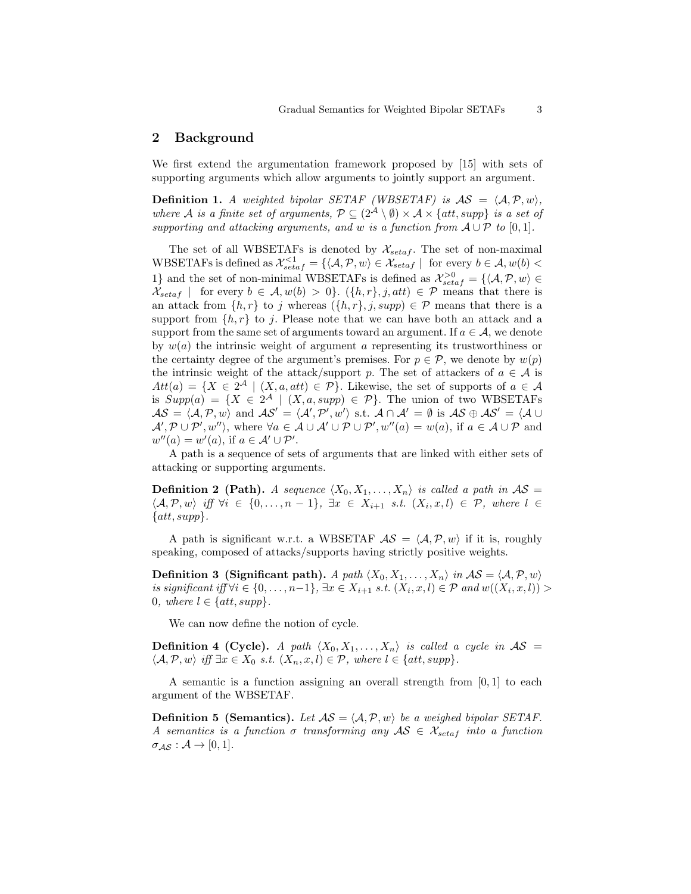### 2 Background

We first extend the argumentation framework proposed by [15] with sets of supporting arguments which allow arguments to jointly support an argument.

**Definition 1.** A weighted bipolar SETAF (WBSETAF) is  $AS = \langle A, P, w \rangle$ , where A is a finite set of arguments,  $\mathcal{P} \subseteq (2^{\mathcal{A}} \setminus \emptyset) \times \mathcal{A} \times \{att, supp\}$  is a set of supporting and attacking arguments, and w is a function from  $A \cup P$  to [0,1].

The set of all WBSETAFs is denoted by  $\mathcal{X}_{setaf}$ . The set of non-maximal WBSETAFs is defined as  $\mathcal{X}_{setaf}^{<1} = \{ \langle \mathcal{A}, \mathcal{P}, w \rangle \in \mathcal{X}_{setaf} \mid \text{ for every } b \in \mathcal{A}, w(b) \leq \emptyset \}$ 1} and the set of non-minimal WBSETAFs is defined as  $\mathcal{X}_{setaf}^{>0} = \{ \langle A, \mathcal{P}, w \rangle \in \mathcal{X}_{setaf} \}$  $\mathcal{X}_{setaf}$  | for every  $b \in \mathcal{A}, w(b) > 0$ .  $({h, r}, j, att) \in \mathcal{P}$  means that there is an attack from  $\{h, r\}$  to j whereas  $(\{h, r\}, j, supp) \in \mathcal{P}$  means that there is a support from  $\{h, r\}$  to j. Please note that we can have both an attack and a support from the same set of arguments toward an argument. If  $a \in \mathcal{A}$ , we denote by  $w(a)$  the intrinsic weight of argument a representing its trustworthiness or the certainty degree of the argument's premises. For  $p \in \mathcal{P}$ , we denote by  $w(p)$ the intrinsic weight of the attack/support p. The set of attackers of  $a \in \mathcal{A}$  is  $Att(a) = \{X \in 2^{\mathcal{A}} \mid (X, a, att) \in \mathcal{P}\}.$  Likewise, the set of supports of  $a \in \mathcal{A}$ is  $Supp(a) = \{X \in 2^A \mid (X, a, supp) \in \mathcal{P}\}\.$  The union of two WBSETAFs  $\mathcal{AS} = \langle \mathcal{A}, \mathcal{P}, w \rangle$  and  $\mathcal{AS}' = \langle \mathcal{A}', \mathcal{P}', w' \rangle$  s.t.  $\mathcal{A} \cap \mathcal{A}' = \emptyset$  is  $\mathcal{AS} \oplus \mathcal{AS}' = \langle \mathcal{A} \cup \mathcal{A}' \rangle$  $\mathcal{A}', \mathcal{P} \cup \mathcal{P}', w''\rangle$ , where  $\forall a \in \mathcal{A} \cup \mathcal{A}' \cup \mathcal{P} \cup \mathcal{P}', w''(a) = w(a)$ , if  $a \in \mathcal{A} \cup \mathcal{P}$  and  $w''(a) = w'(a)$ , if  $a \in A' \cup P'$ .

A path is a sequence of sets of arguments that are linked with either sets of attacking or supporting arguments.

**Definition 2 (Path).** A sequence  $\langle X_0, X_1, \ldots, X_n \rangle$  is called a path in  $\mathcal{AS} =$  $\langle A, \mathcal{P}, w \rangle$  iff  $\forall i \in \{0, \ldots, n-1\}, \exists x \in X_{i+1} \; s.t. \; (X_i, x, l) \in \mathcal{P}, \text{ where } l \in \mathcal{P}$  $\{att, supp\}.$ 

A path is significant w.r.t. a WBSETAF  $AS = \langle A, P, w \rangle$  if it is, roughly speaking, composed of attacks/supports having strictly positive weights.

**Definition 3 (Significant path).** A path  $\langle X_0, X_1, \ldots, X_n \rangle$  in  $\mathcal{AS} = \langle \mathcal{A}, \mathcal{P}, w \rangle$ is significant iff  $\forall i \in \{0, ..., n-1\}$ ,  $\exists x \in X_{i+1}$  s.t.  $(X_i, x, l) \in \mathcal{P}$  and  $w((X_i, x, l)) >$ 0, where  $l \in \{att, supp\}$ .

We can now define the notion of cycle.

**Definition 4 (Cycle).** A path  $\langle X_0, X_1, \ldots, X_n \rangle$  is called a cycle in  $AS =$  $\langle A, \mathcal{P}, w \rangle$  iff  $\exists x \in X_0 \text{ s.t. } (X_n, x, l) \in \mathcal{P}$ , where  $l \in \{att, supp\}.$ 

A semantic is a function assigning an overall strength from  $[0, 1]$  to each argument of the WBSETAF.

**Definition 5 (Semantics).** Let  $AS = \langle A, P, w \rangle$  be a weighed bipolar SETAF. A semantics is a function  $\sigma$  transforming any  $AS \in \mathcal{X}_{setaf}$  into a function  $\sigma_{\mathcal{AS}} : \mathcal{A} \to [0,1].$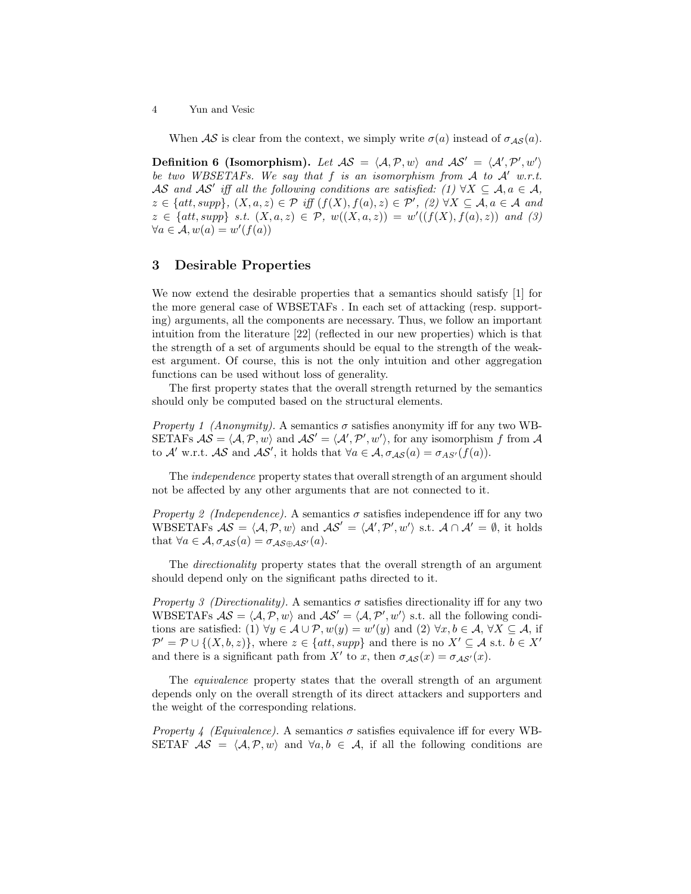When  $\mathcal{AS}$  is clear from the context, we simply write  $\sigma(a)$  instead of  $\sigma_{\mathcal{AS}}(a)$ .

Definition 6 (Isomorphism). Let  $AS = \langle A, P, w \rangle$  and  $AS' = \langle A', P', w' \rangle$ be two WBSETAFs. We say that f is an isomorphism from A to  $A'$  w.r.t. AS and AS' iff all the following conditions are satisfied: (1)  $\forall X \subseteq A, a \in \mathcal{A}$ ,  $z \in \{att, supp\}, (X, a, z) \in \mathcal{P} \text{ iff } (f(X), f(a), z) \in \mathcal{P}', (2) \forall X \subseteq \mathcal{A}, a \in \mathcal{A} \text{ and}$  $z \in \{att, supp\}$  s.t.  $(X, a, z) \in \mathcal{P}$ ,  $w((X, a, z)) = w'((f(X), f(a), z))$  and (3)  $\forall a \in \mathcal{A}, w(a) = w'(f(a))$ 

### 3 Desirable Properties

We now extend the desirable properties that a semantics should satisfy [1] for the more general case of WBSETAFs . In each set of attacking (resp. supporting) arguments, all the components are necessary. Thus, we follow an important intuition from the literature [22] (reflected in our new properties) which is that the strength of a set of arguments should be equal to the strength of the weakest argument. Of course, this is not the only intuition and other aggregation functions can be used without loss of generality.

The first property states that the overall strength returned by the semantics should only be computed based on the structural elements.

*Property 1 (Anonymity).* A semantics  $\sigma$  satisfies anonymity iff for any two WB-SETAFs  $AS = \langle A, P, w \rangle$  and  $AS' = \langle A', P', w' \rangle$ , for any isomorphism f from A to A' w.r.t. AS and AS', it holds that  $\forall a \in A, \sigma_{AS}(a) = \sigma_{AS'}(f(a)).$ 

The independence property states that overall strength of an argument should not be affected by any other arguments that are not connected to it.

*Property 2 (Independence).* A semantics  $\sigma$  satisfies independence iff for any two WBSETAFs  $AS = \langle A, P, w \rangle$  and  $AS' = \langle A', P', w' \rangle$  s.t.  $A \cap A' = \emptyset$ , it holds that  $\forall a \in A, \sigma_{AS}(a) = \sigma_{AS \oplus AS'}(a)$ .

The directionality property states that the overall strength of an argument should depend only on the significant paths directed to it.

*Property 3 (Directionality).* A semantics  $\sigma$  satisfies directionality iff for any two WBSETAFs  $AS = \langle A, P, w \rangle$  and  $AS' = \langle A, P', w' \rangle$  s.t. all the following conditions are satisfied: (1)  $\forall y \in A \cup P, w(y) = w'(y)$  and (2)  $\forall x, b \in A, \forall X \subseteq A$ , if  $\mathcal{P}' = \mathcal{P} \cup \{(X, b, z)\}\text{, where } z \in \{att, supp\} \text{ and there is no } X' \subseteq \mathcal{A} \text{ s.t. } b \in X'$ and there is a significant path from X' to x, then  $\sigma_{\mathcal{AS}}(x) = \sigma_{\mathcal{AS}'}(x)$ .

The equivalence property states that the overall strength of an argument depends only on the overall strength of its direct attackers and supporters and the weight of the corresponding relations.

*Property 4 (Equivalence).* A semantics  $\sigma$  satisfies equivalence iff for every WB-SETAF  $AS = \langle A, P, w \rangle$  and  $\forall a, b \in A$ , if all the following conditions are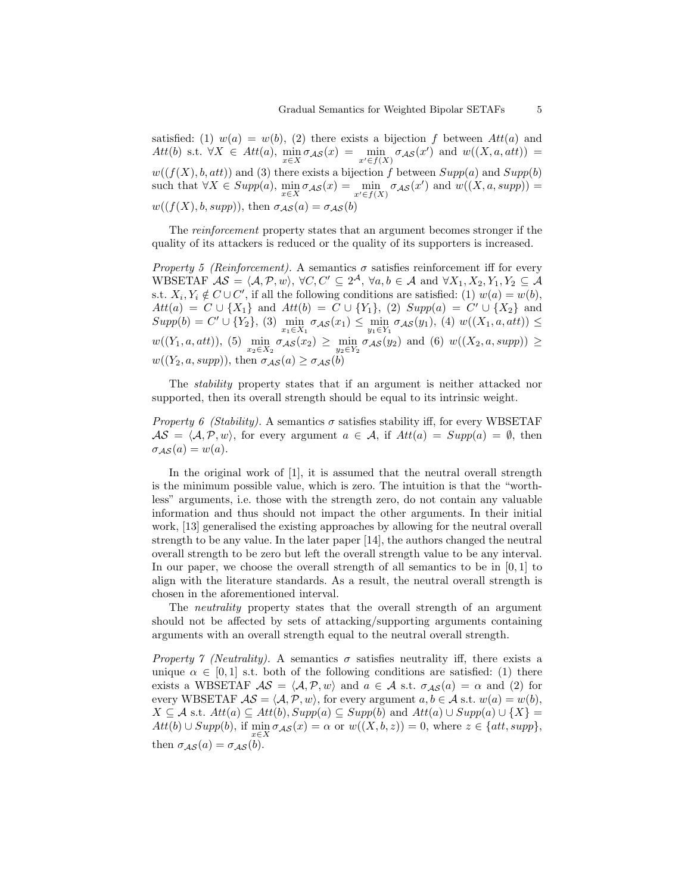satisfied: (1)  $w(a) = w(b)$ , (2) there exists a bijection f between  $Att(a)$  and  $Att(b)$  s.t.  $\forall X \in Att(a), \min_{x \in X} \sigma_{\mathcal{AS}}(x) = \min_{x' \in f(X)} \sigma_{\mathcal{AS}}(x')$  and  $w((X, a, att)) =$  $w((f(X), b, att))$  and (3) there exists a bijection f between  $Supp(a)$  and  $Supp(b)$ such that  $\forall X \in Supp(a), \min_{x \in X} \sigma_{\mathcal{AS}}(x) = \min_{x' \in f(X)} \sigma_{\mathcal{AS}}(x')$  and  $w((X, a, supp)) =$  $w((f(X), b, supp)),$  then  $\sigma_{\mathcal{AS}}(a) = \sigma_{\mathcal{AS}}(b)$ 

The reinforcement property states that an argument becomes stronger if the quality of its attackers is reduced or the quality of its supporters is increased.

Property 5 (Reinforcement). A semantics  $\sigma$  satisfies reinforcement iff for every WBSETAF  $\mathcal{AS} = \langle \mathcal{A}, \mathcal{P}, w \rangle$ ,  $\forall C, C' \subseteq 2^{\mathcal{A}}, \forall a, b \in \mathcal{A} \text{ and } \forall X_1, X_2, Y_1, Y_2 \subseteq \mathcal{A}$ s.t.  $X_i, Y_i \notin C \cup C'$ , if all the following conditions are satisfied: (1)  $w(a) = w(b)$ ,  $Att(a) = C \cup \{X_1\}$  and  $Att(b) = C \cup \{Y_1\}, (2) \; Supp(a) = C' \cup \{X_2\}$  and  $Supp(b) = C' \cup \{Y_2\}, (3) \min_{x_1 \in X_1} \sigma_{\mathcal{AS}}(x_1) \leq \min_{y_1 \in Y_1} \sigma_{\mathcal{AS}}(y_1), (4) w((X_1, a, att)) \leq$  $w((Y_1, a, att)), (5) \min_{x_2 \in X_2} \sigma_{\mathcal{AS}}(x_2) \geq \min_{y_2 \in Y_2} \sigma_{\mathcal{AS}}(y_2)$  and  $(6) w((X_2, a, supp)) \geq$  $w((Y_2, a, supp)),$  then  $\sigma_{\mathcal{AS}}(a) \geq \sigma_{\mathcal{AS}}(b)$ 

The stability property states that if an argument is neither attacked nor supported, then its overall strength should be equal to its intrinsic weight.

*Property 6 (Stability).* A semantics  $\sigma$  satisfies stability iff, for every WBSETAF  $\mathcal{AS} = \langle \mathcal{A}, \mathcal{P}, w \rangle$ , for every argument  $a \in \mathcal{A}$ , if  $Att(a) = Supp(a) = \emptyset$ , then  $\sigma_{AS}(a) = w(a).$ 

In the original work of [1], it is assumed that the neutral overall strength is the minimum possible value, which is zero. The intuition is that the "worthless" arguments, i.e. those with the strength zero, do not contain any valuable information and thus should not impact the other arguments. In their initial work, [13] generalised the existing approaches by allowing for the neutral overall strength to be any value. In the later paper [14], the authors changed the neutral overall strength to be zero but left the overall strength value to be any interval. In our paper, we choose the overall strength of all semantics to be in [0, 1] to align with the literature standards. As a result, the neutral overall strength is chosen in the aforementioned interval.

The neutrality property states that the overall strength of an argument should not be affected by sets of attacking/supporting arguments containing arguments with an overall strength equal to the neutral overall strength.

Property 7 (Neutrality). A semantics  $\sigma$  satisfies neutrality iff, there exists a unique  $\alpha \in [0, 1]$  s.t. both of the following conditions are satisfied: (1) there exists a WBSETAF  $\mathcal{AS} = \langle \mathcal{A}, \mathcal{P}, w \rangle$  and  $a \in \mathcal{A}$  s.t.  $\sigma_{\mathcal{AS}}(a) = \alpha$  and (2) for every WBSETAF  $AS = \langle A, P, w \rangle$ , for every argument  $a, b \in A$  s.t.  $w(a) = w(b)$ ,  $X \subseteq \mathcal{A}$  s.t.  $Att(a) \subseteq Att(b), Supp(a) \subseteq Supp(b)$  and  $Att(a) \cup Supp(a) \cup \{X\} =$  $Att(b) \cup Supp(b),$  if  $\min_{\alpha} \sigma_{\mathcal{AS}}(x) = \alpha$  or  $w((X, b, z)) = 0$ , where  $z \in \{att, supp\},$ then  $\sigma_{\mathcal{AS}}(a) = \sigma_{\mathcal{AS}}(b)$ .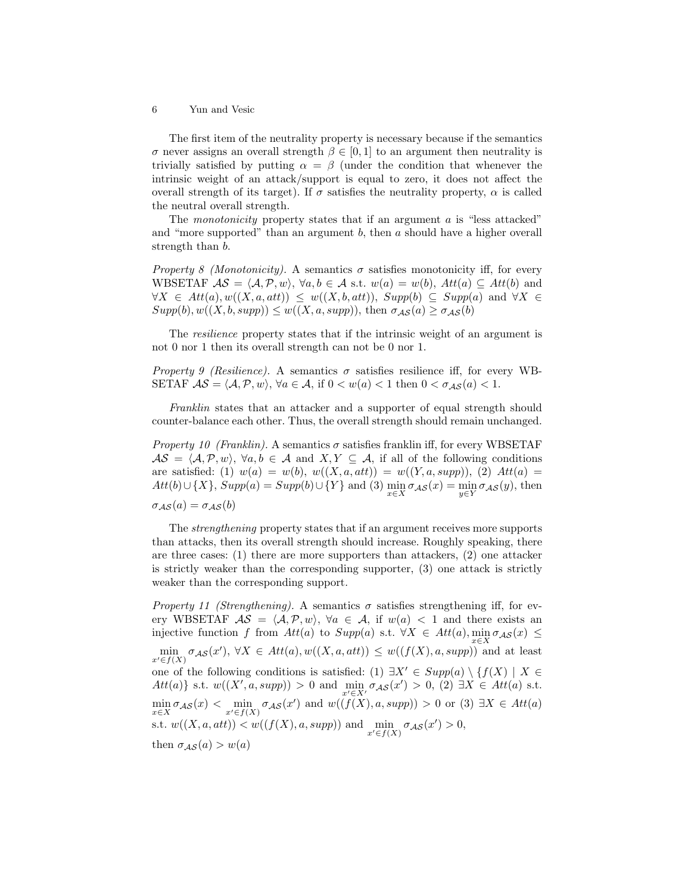The first item of the neutrality property is necessary because if the semantics σ never assigns an overall strength  $β ∈ [0, 1]$  to an argument then neutrality is trivially satisfied by putting  $\alpha = \beta$  (under the condition that whenever the intrinsic weight of an attack/support is equal to zero, it does not affect the overall strength of its target). If  $\sigma$  satisfies the neutrality property,  $\alpha$  is called the neutral overall strength.

The *monotonicity* property states that if an argument  $\alpha$  is "less attacked" and "more supported" than an argument  $b$ , then  $a$  should have a higher overall strength than b.

*Property 8 (Monotonicity).* A semantics  $\sigma$  satisfies monotonicity iff, for every WBSETAF  $AS = \langle A, P, w \rangle$ ,  $\forall a, b \in A$  s.t.  $w(a) = w(b)$ ,  $Att(a) \subseteq Att(b)$  and  $\forall X \in Att(a), w((X, a, att)) \leq w((X, b, att)), Supp(b) \subseteq Supp(a) \text{ and } \forall X \in$  $Supp(b), w((X, b, supp)) \leq w((X, a, supp)),$  then  $\sigma_{\mathcal{AS}}(a) \geq \sigma_{\mathcal{AS}}(b)$ 

The resilience property states that if the intrinsic weight of an argument is not 0 nor 1 then its overall strength can not be 0 nor 1.

Property 9 (Resilience). A semantics  $\sigma$  satisfies resilience iff, for every WB-SETAF  $\mathcal{AS} = \langle \mathcal{A}, \mathcal{P}, w \rangle$ ,  $\forall a \in \mathcal{A}$ , if  $0 < w(a) < 1$  then  $0 < \sigma_{\mathcal{AS}}(a) < 1$ .

Franklin states that an attacker and a supporter of equal strength should counter-balance each other. Thus, the overall strength should remain unchanged.

*Property 10 (Franklin).* A semantics  $\sigma$  satisfies franklin iff, for every WBSETAF  $\mathcal{AS} = \langle \mathcal{A}, \mathcal{P}, w \rangle, \ \forall a, b \in \mathcal{A} \text{ and } X, Y \subseteq \mathcal{A} \text{, if all of the following conditions}$ are satisfied: (1)  $w(a) = w(b), w((X, a, att)) = w((Y, a, supp)),$  (2)  $Att(a) =$  $Att(b) \cup \{X\}$ ,  $Supp(a) = Supp(b) \cup \{Y\}$  and (3)  $\min_{x \in X} \sigma_{\mathcal{AS}}(x) = \min_{y \in Y} \sigma_{\mathcal{AS}}(y)$ , then  $\sigma_{\mathcal{AS}}(a) = \sigma_{\mathcal{AS}}(b)$ 

The strengthening property states that if an argument receives more supports than attacks, then its overall strength should increase. Roughly speaking, there are three cases: (1) there are more supporters than attackers, (2) one attacker is strictly weaker than the corresponding supporter, (3) one attack is strictly weaker than the corresponding support.

Property 11 (Strengthening). A semantics  $\sigma$  satisfies strengthening iff, for every WBSETAF  $\mathcal{AS} = \langle \mathcal{A}, \mathcal{P}, w \rangle$ ,  $\forall a \in \mathcal{A}$ , if  $w(a) < 1$  and there exists an injective function f from  $Att(a)$  to  $Supp(a)$  s.t.  $\forall X \in Att(a), \min_{a \in \mathcal{S}} \sigma_{AS}(x) \leq$  $\min_{x' \in f(X)} \sigma_{\mathcal{AS}}(x'), \ \forall X \in Att(a), w((X, a, att)) \leq w((f(X), a, supp))$  and at least one of the following conditions is satisfied: (1)  $\exists X' \in Supp(a) \setminus \{f(X) \mid X \in$  $Att(a) \}$  s.t.  $w((X', a, supp)) > 0$  and  $\min_{x' \in X'} \sigma_{\mathcal{AS}}(x') > 0$ , (2)  $\exists X \in Att(a)$  s.t.  $\min_{x \in X} \sigma_{\mathcal{AS}}(x) < \min_{x' \in f(X)} \sigma_{\mathcal{AS}}(x')$  and  $w((f(X), a, supp)) > 0$  or (3)  $\exists X \in Att(a)$ s.t.  $w((X, a, att)) < w((f(X), a, supp))$  and  $\min_{x' \in f(X)} \sigma_{\mathcal{AS}}(x') > 0$ , then  $\sigma_{\mathcal{AS}}(a) > w(a)$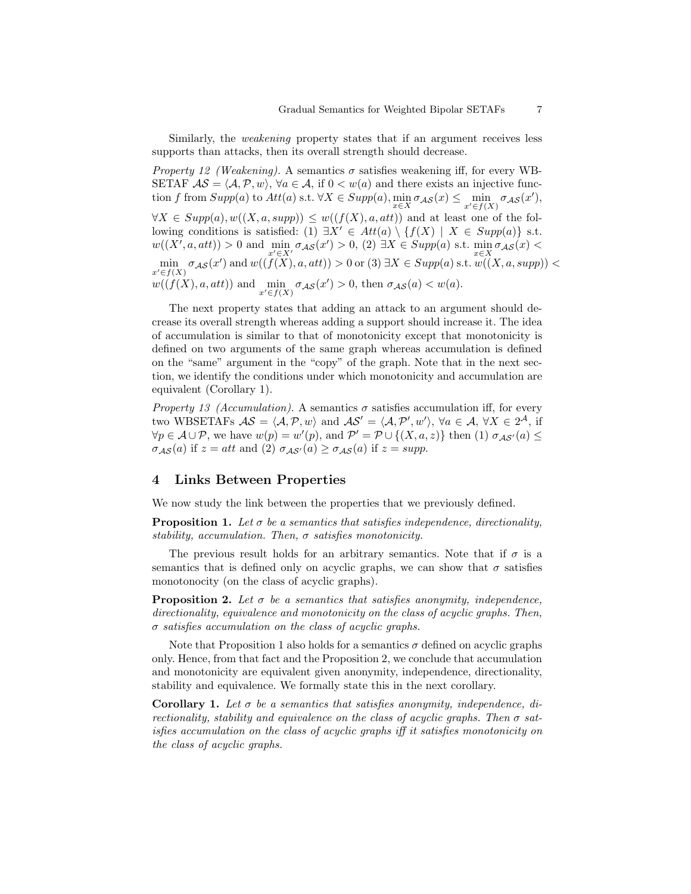Similarly, the weakening property states that if an argument receives less supports than attacks, then its overall strength should decrease.

Property 12 (Weakening). A semantics  $\sigma$  satisfies weakening iff, for every WB-SETAF  $\mathcal{AS} = \langle \mathcal{A}, \mathcal{P}, w \rangle$ ,  $\forall a \in \mathcal{A}$ , if  $0 < w(a)$  and there exists an injective function f from  $Supp(a)$  to  $Att(a)$  s.t.  $\forall X \in Supp(a), \min_{x \in X} \sigma_{\mathcal{AS}}(x) \leq \min_{x' \in f(X)} \sigma_{\mathcal{AS}}(x'),$  $\forall X \in Supp(a), w((X, a, supp)) \leq w((f(X), a, att))$  and at least one of the following conditions is satisfied: (1)  $\exists X' \in Att(a) \setminus \{f(X) \mid X \in Supp(a)\}\$  s.t.  $w((X', a, att)) > 0$  and  $\min_{x' \in X'} \sigma_{\mathcal{AS}}(x') > 0$ , (2)  $\exists X \in \text{Supp}(a)$  s.t.  $\min_{x \in X} \sigma_{\mathcal{AS}}(x) <$  $\min_{\mathcal{A} \in \mathcal{A}} \sigma_{\mathcal{A} \mathcal{S}}(x')$  and  $w((f(X), a, att)) > 0$  or  $(3) \exists X \in Supp(a) \text{ s.t. } w((X, a, supp)) <$  $x^{\prime}{\in}f(X)$  $w((f(X), a, att))$  and  $\min_{x' \in f(X)} \sigma_{\mathcal{AS}}(x') > 0$ , then  $\sigma_{\mathcal{AS}}(a) < w(a)$ .

The next property states that adding an attack to an argument should decrease its overall strength whereas adding a support should increase it. The idea of accumulation is similar to that of monotonicity except that monotonicity is defined on two arguments of the same graph whereas accumulation is defined on the "same" argument in the "copy" of the graph. Note that in the next section, we identify the conditions under which monotonicity and accumulation are equivalent (Corollary 1).

*Property 13 (Accumulation).* A semantics  $\sigma$  satisfies accumulation iff, for every two WBSETAFs  $\mathcal{AS} = \langle \mathcal{A}, \mathcal{P}, w \rangle$  and  $\mathcal{AS}' = \langle \mathcal{A}, \mathcal{P}', w' \rangle$ ,  $\forall a \in \mathcal{A}, \forall X \in 2^{\mathcal{A}}, \text{ if }$  $\forall p \in \mathcal{A} \cup \mathcal{P}$ , we have  $w(p) = w'(p)$ , and  $\mathcal{P}' = \mathcal{P} \cup \{(X, a, z)\}\$  then (1)  $\sigma_{\mathcal{AS}'}(a) \leq$  $\sigma_{\mathcal{AS}}(a)$  if  $z = att$  and (2)  $\sigma_{\mathcal{AS}'}(a) \geq \sigma_{\mathcal{AS}}(a)$  if  $z = supp$ .

#### 4 Links Between Properties

We now study the link between the properties that we previously defined.

**Proposition 1.** Let  $\sigma$  be a semantics that satisfies independence, directionality, stability, accumulation. Then,  $\sigma$  satisfies monotonicity.

The previous result holds for an arbitrary semantics. Note that if  $\sigma$  is a semantics that is defined only on acyclic graphs, we can show that  $\sigma$  satisfies monotonocity (on the class of acyclic graphs).

**Proposition 2.** Let  $\sigma$  be a semantics that satisfies anonymity, independence, directionality, equivalence and monotonicity on the class of acyclic graphs. Then,  $\sigma$  satisfies accumulation on the class of acyclic graphs.

Note that Proposition 1 also holds for a semantics  $\sigma$  defined on acyclic graphs only. Hence, from that fact and the Proposition 2, we conclude that accumulation and monotonicity are equivalent given anonymity, independence, directionality, stability and equivalence. We formally state this in the next corollary.

Corollary 1. Let  $\sigma$  be a semantics that satisfies anonymity, independence, directionality, stability and equivalence on the class of acyclic graphs. Then  $\sigma$  satisfies accumulation on the class of acyclic graphs iff it satisfies monotonicity on the class of acyclic graphs.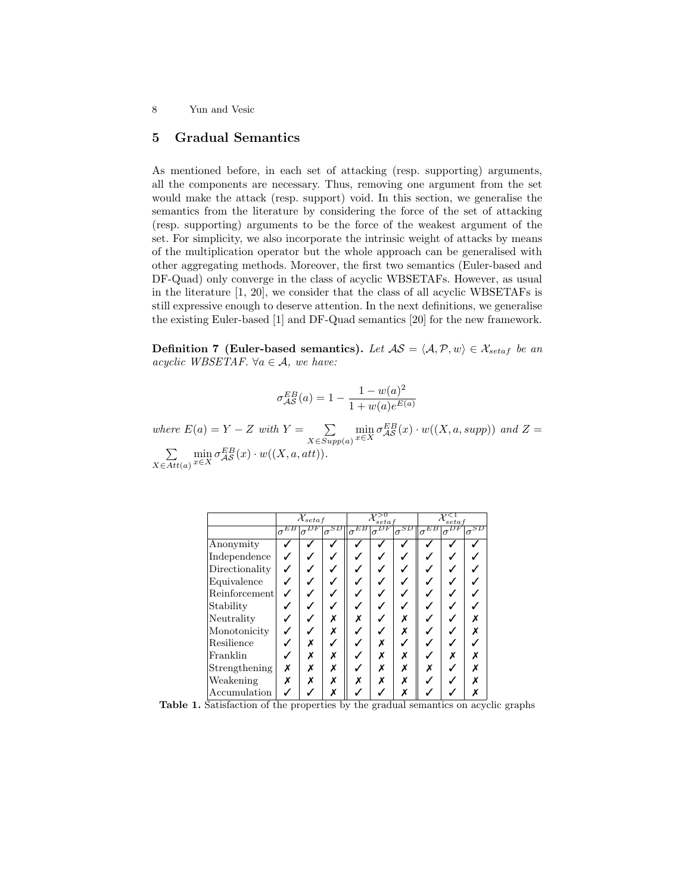# 5 Gradual Semantics

As mentioned before, in each set of attacking (resp. supporting) arguments, all the components are necessary. Thus, removing one argument from the set would make the attack (resp. support) void. In this section, we generalise the semantics from the literature by considering the force of the set of attacking (resp. supporting) arguments to be the force of the weakest argument of the set. For simplicity, we also incorporate the intrinsic weight of attacks by means of the multiplication operator but the whole approach can be generalised with other aggregating methods. Moreover, the first two semantics (Euler-based and DF-Quad) only converge in the class of acyclic WBSETAFs. However, as usual in the literature [1, 20], we consider that the class of all acyclic WBSETAFs is still expressive enough to deserve attention. In the next definitions, we generalise the existing Euler-based [1] and DF-Quad semantics [20] for the new framework.

Definition 7 (Euler-based semantics). Let  $AS = \langle A, P, w \rangle \in \mathcal{X}_{setaf}$  be an acyclic WBSETAF.  $\forall a \in \mathcal{A}$ , we have:

$$
\sigma^{EB}_{\mathcal{AS}}(a)=1-\frac{1-w(a)^2}{1+w(a)e^{E(a)}}
$$

where  $E(a) = Y - Z$  with  $Y = \sum$  $X \in Supp(a)$  $\min_{x \in X} \sigma_{\mathcal{AS}}^{EB}(x) \cdot w((X, a, supp))$  and  $Z =$  $\sum$  $X \in Att(a)$  $\min_{x \in X} \sigma_{\mathcal{AS}}^{EB}(x) \cdot w((X, a, att)).$ 

|                | $\mathcal{X}_{setaf}$ |          |                             | set a                                               |   |                                           | $_{seta}$      |          |               |
|----------------|-----------------------|----------|-----------------------------|-----------------------------------------------------|---|-------------------------------------------|----------------|----------|---------------|
|                | EВ<br>$\sigma$        | $\sigma$ | $\mathbf{1}_{\sigma}$ space | $\mathbf{1}_{\sigma}{}^{\overline{E} \overline{B}}$ |   | $\mathbf{1}_{\sigma}{}^{\!\overline{SD}}$ | EВ<br>$\sigma$ | $\sigma$ | $\sigma^{SD}$ |
| Anonymity      |                       |          |                             |                                                     |   |                                           |                |          |               |
| Independence   |                       |          |                             |                                                     |   |                                           |                |          |               |
| Directionality |                       |          |                             |                                                     |   |                                           |                |          |               |
| Equivalence    |                       |          |                             |                                                     |   |                                           |                |          |               |
| Reinforcement  |                       |          |                             |                                                     |   |                                           |                |          |               |
| Stability      |                       |          |                             |                                                     |   |                                           |                |          |               |
| Neutrality     |                       |          | x                           |                                                     |   |                                           |                |          |               |
| Monotonicity   |                       |          | Х                           |                                                     |   |                                           |                |          |               |
| Resilience     |                       | x        |                             |                                                     | X |                                           |                |          |               |
| Franklin       |                       | Х        | х                           |                                                     | Х |                                           |                |          |               |
| Strengthening  | X                     | x        |                             |                                                     | X |                                           |                |          |               |
| Weakening      | X                     | Х        |                             |                                                     |   |                                           |                |          |               |
| Accumulation   |                       |          |                             |                                                     |   |                                           |                |          |               |

Table 1. Satisfaction of the properties by the gradual semantics on acyclic graphs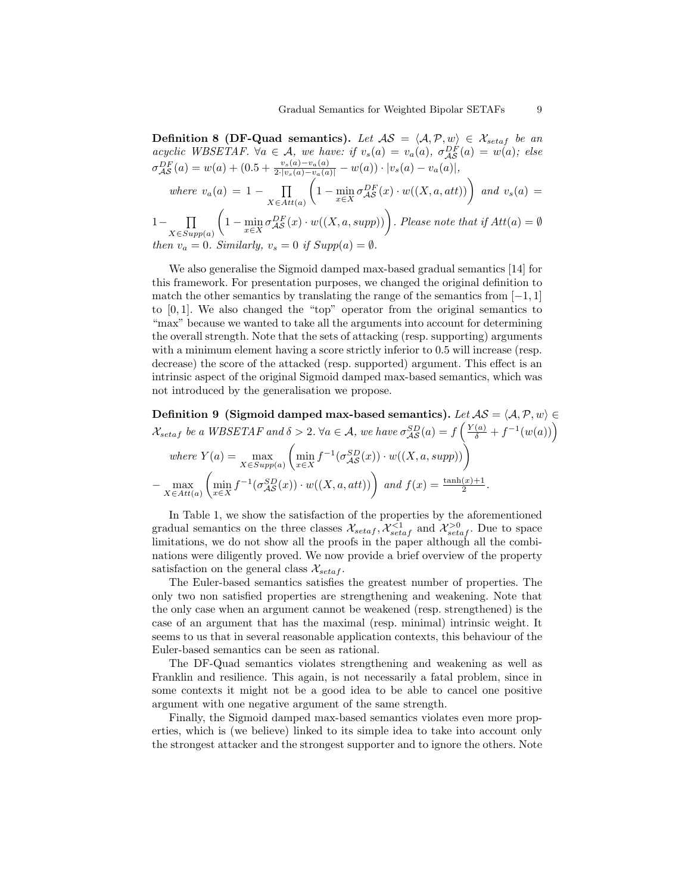Definition 8 (DF-Quad semantics). Let  $AS = \langle A, P, w \rangle \in \mathcal{X}_{setaf}$  be an acyclic WBSETAF.  $\forall a \in \mathcal{A}$ , we have: if  $v_s(a) = v_a(a)$ ,  $\sigma_{\mathcal{AS}}^{DF}(a) = w(a)$ ; else  $\sigma_{\mathcal{AS}}^{DF}(a) = w(a) + (0.5 + \frac{v_s(a) - v_a(a)}{2 \cdot |v_s(a) - v_a(a)|} - w(a)) \cdot |v_s(a) - v_a(a)|,$ where  $v_a(a) = 1 - \prod$  $X \in Att(a)$  $\left(1-\min_{x\in X}\sigma_{\mathcal{AS}}^{DF}(x)\cdot w((X,a,att))\right)$  and  $v_s(a)$  = 1– **∏**  $X\in Supp(a)$  $\left(1-\min_{x\in X}\sigma_{\mathcal{AS}}^{DF}(x)\cdot w((X,a,supp))\right)$ . Please note that if  $Att(a)=\emptyset$ 

then  $v_a = 0$ . Similarly,  $v_s = 0$  if Supp

We also generalise the Sigmoid damped max-based gradual semantics [14] for this framework. For presentation purposes, we changed the original definition to match the other semantics by translating the range of the semantics from  $[-1, 1]$ to  $[0, 1]$ . We also changed the "top" operator from the original semantics to "max" because we wanted to take all the arguments into account for determining the overall strength. Note that the sets of attacking (resp. supporting) arguments with a minimum element having a score strictly inferior to 0.5 will increase (resp. decrease) the score of the attacked (resp. supported) argument. This effect is an intrinsic aspect of the original Sigmoid damped max-based semantics, which was not introduced by the generalisation we propose.

Definition 9 (Sigmoid damped max-based semantics). Let  $AS = \langle A, P, w \rangle \in$  $\mathcal{X}_{setaf}$  be a WBSETAF and  $\delta > 2$ .  $\forall a \in \mathcal{A}$ , we have  $\sigma_{\mathcal{AS}}^{SD}(a) = f\left(\frac{Y(a)}{\delta} + f^{-1}(w(a))\right)$ 

where 
$$
Y(a) = \max_{X \in Supp(a)} \left( \min_{x \in X} f^{-1}(\sigma_{\mathcal{AS}}^{SD}(x)) \cdot w((X, a, supp)) \right)
$$
  
-  $\max_{X \in Att(a)} \left( \min_{x \in X} f^{-1}(\sigma_{\mathcal{AS}}^{SD}(x)) \cdot w((X, a, att)) \right) \text{ and } f(x) = \frac{\tanh(x) + 1}{2}.$ 

In Table 1, we show the satisfaction of the properties by the aforementioned gradual semantics on the three classes  $\mathcal{X}_{setaf}$ ,  $\mathcal{X}_{setaf}^{<1}$  and  $\mathcal{X}_{setaf}^{>0}$ . Due to space limitations, we do not show all the proofs in the paper although all the combinations were diligently proved. We now provide a brief overview of the property satisfaction on the general class  $\mathcal{X}_{setaf}$ .

The Euler-based semantics satisfies the greatest number of properties. The only two non satisfied properties are strengthening and weakening. Note that the only case when an argument cannot be weakened (resp. strengthened) is the case of an argument that has the maximal (resp. minimal) intrinsic weight. It seems to us that in several reasonable application contexts, this behaviour of the Euler-based semantics can be seen as rational.

The DF-Quad semantics violates strengthening and weakening as well as Franklin and resilience. This again, is not necessarily a fatal problem, since in some contexts it might not be a good idea to be able to cancel one positive argument with one negative argument of the same strength.

Finally, the Sigmoid damped max-based semantics violates even more properties, which is (we believe) linked to its simple idea to take into account only the strongest attacker and the strongest supporter and to ignore the others. Note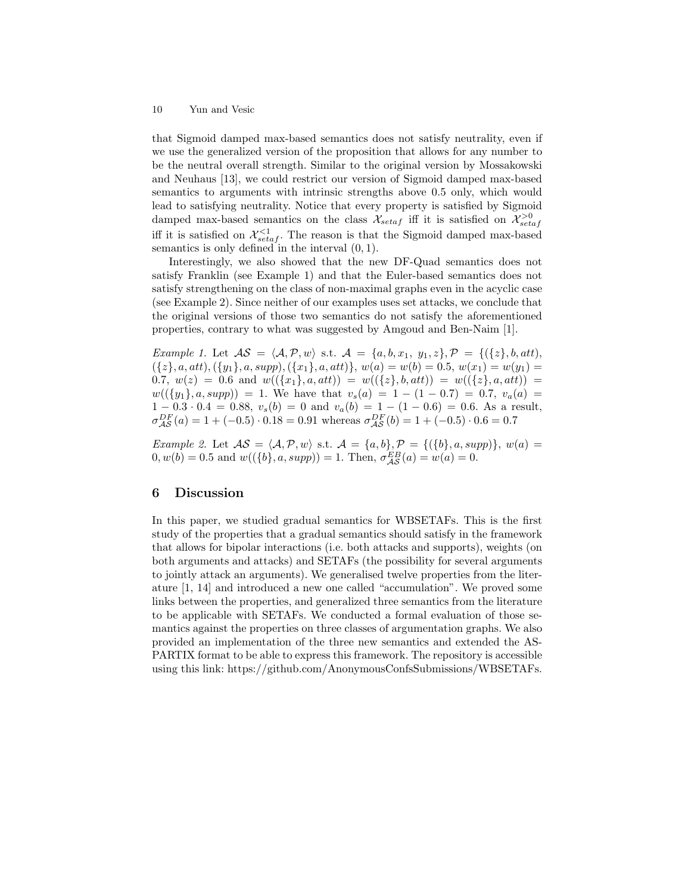that Sigmoid damped max-based semantics does not satisfy neutrality, even if we use the generalized version of the proposition that allows for any number to be the neutral overall strength. Similar to the original version by Mossakowski and Neuhaus [13], we could restrict our version of Sigmoid damped max-based semantics to arguments with intrinsic strengths above 0.5 only, which would lead to satisfying neutrality. Notice that every property is satisfied by Sigmoid damped max-based semantics on the class  $\mathcal{X}_{setaf}$  iff it is satisfied on  $\mathcal{X}_{setaf}^{>0}$ iff it is satisfied on  $\mathcal{X}_{setaf}^{<1}$ . The reason is that the Sigmoid damped max-based semantics is only defined in the interval  $(0, 1)$ .

Interestingly, we also showed that the new DF-Quad semantics does not satisfy Franklin (see Example 1) and that the Euler-based semantics does not satisfy strengthening on the class of non-maximal graphs even in the acyclic case (see Example 2). Since neither of our examples uses set attacks, we conclude that the original versions of those two semantics do not satisfy the aforementioned properties, contrary to what was suggested by Amgoud and Ben-Naim [1].

Example 1. Let  $\mathcal{AS} = \langle \mathcal{A}, \mathcal{P}, w \rangle$  s.t.  $\mathcal{A} = \{a, b, x_1, y_1, z\}, \mathcal{P} = \{(\{z\}, b, att),$  $({z}, a, att), ({y<sub>1</sub>}, a, supp), ({x<sub>1</sub>}, a, att)}, w(a) = w(b) = 0.5, w(x<sub>1</sub>) = w(y<sub>1</sub>) =$ 0.7,  $w(z) = 0.6$  and  $w((\lbrace x_1 \rbrace, a, att)) = w((\lbrace z \rbrace, b, att)) = w((\lbrace z \rbrace, a, att)) =$  $w((\{y_1\}, a, supp)) = 1$ . We have that  $v_s(a) = 1 - (1 - 0.7) = 0.7$ ,  $v_a(a) =$  $1 - 0.3 \cdot 0.4 = 0.88$ ,  $v_s(b) = 0$  and  $v_a(b) = 1 - (1 - 0.6) = 0.6$ . As a result,  $\sigma_{\mathcal{AS}}^{DF}(a) = 1 + (-0.5) \cdot 0.18 = 0.91$  whereas  $\sigma_{\mathcal{AS}}^{DF}(b) = 1 + (-0.5) \cdot 0.6 = 0.7$ 

Example 2. Let  $AS = \langle A, P, w \rangle$  s.t.  $A = \{a, b\}, P = \{(\{b\}, a, supp)\}, w(a) =$  $0, w(b) = 0.5$  and  $w((\{b\}, a, supp)) = 1$ . Then,  $\sigma_{\mathcal{AS}}^{EB}(a) = w(a) = 0$ .

## 6 Discussion

In this paper, we studied gradual semantics for WBSETAFs. This is the first study of the properties that a gradual semantics should satisfy in the framework that allows for bipolar interactions (i.e. both attacks and supports), weights (on both arguments and attacks) and SETAFs (the possibility for several arguments to jointly attack an arguments). We generalised twelve properties from the literature [1, 14] and introduced a new one called "accumulation". We proved some links between the properties, and generalized three semantics from the literature to be applicable with SETAFs. We conducted a formal evaluation of those semantics against the properties on three classes of argumentation graphs. We also provided an implementation of the three new semantics and extended the AS-PARTIX format to be able to express this framework. The repository is accessible using this link: https://github.com/AnonymousConfsSubmissions/WBSETAFs.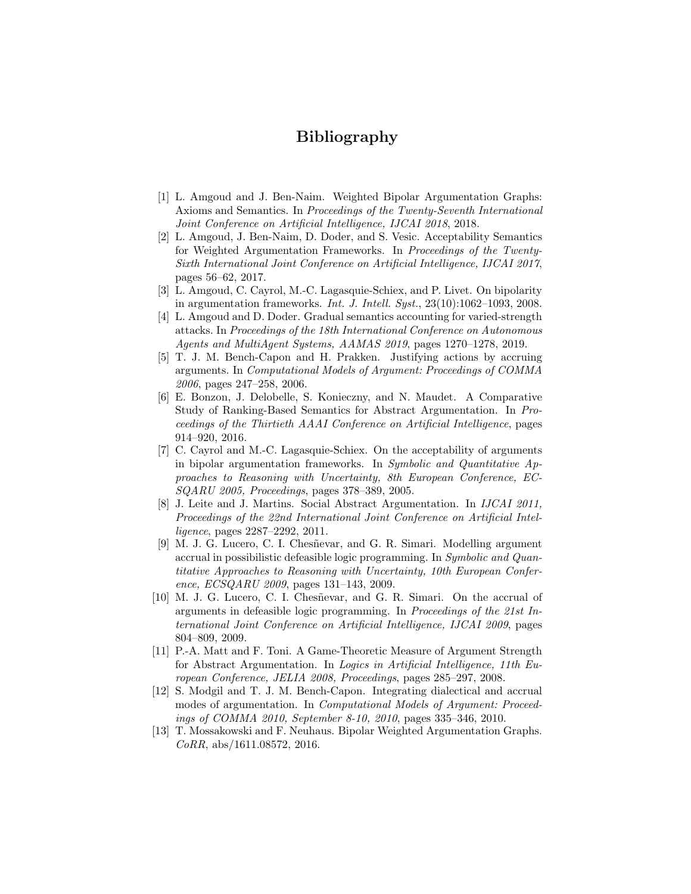# Bibliography

- [1] L. Amgoud and J. Ben-Naim. Weighted Bipolar Argumentation Graphs: Axioms and Semantics. In Proceedings of the Twenty-Seventh International Joint Conference on Artificial Intelligence, IJCAI 2018, 2018.
- [2] L. Amgoud, J. Ben-Naim, D. Doder, and S. Vesic. Acceptability Semantics for Weighted Argumentation Frameworks. In Proceedings of the Twenty-Sixth International Joint Conference on Artificial Intelligence, IJCAI 2017, pages 56–62, 2017.
- [3] L. Amgoud, C. Cayrol, M.-C. Lagasquie-Schiex, and P. Livet. On bipolarity in argumentation frameworks. Int. J. Intell. Syst.,  $23(10):1062-1093$ ,  $2008$ .
- [4] L. Amgoud and D. Doder. Gradual semantics accounting for varied-strength attacks. In Proceedings of the 18th International Conference on Autonomous Agents and MultiAgent Systems, AAMAS 2019, pages 1270–1278, 2019.
- [5] T. J. M. Bench-Capon and H. Prakken. Justifying actions by accruing arguments. In Computational Models of Argument: Proceedings of COMMA 2006, pages 247–258, 2006.
- [6] E. Bonzon, J. Delobelle, S. Konieczny, and N. Maudet. A Comparative Study of Ranking-Based Semantics for Abstract Argumentation. In Proceedings of the Thirtieth AAAI Conference on Artificial Intelligence, pages 914–920, 2016.
- [7] C. Cayrol and M.-C. Lagasquie-Schiex. On the acceptability of arguments in bipolar argumentation frameworks. In Symbolic and Quantitative Approaches to Reasoning with Uncertainty, 8th European Conference, EC-SQARU 2005, Proceedings, pages 378–389, 2005.
- [8] J. Leite and J. Martins. Social Abstract Argumentation. In IJCAI 2011, Proceedings of the 22nd International Joint Conference on Artificial Intelligence, pages 2287–2292, 2011.
- [9] M. J. G. Lucero, C. I. Chesñevar, and G. R. Simari. Modelling argument accrual in possibilistic defeasible logic programming. In Symbolic and Quantitative Approaches to Reasoning with Uncertainty, 10th European Conference, ECSQARU 2009, pages 131–143, 2009.
- [10] M. J. G. Lucero, C. I. Chesñevar, and G. R. Simari. On the accrual of arguments in defeasible logic programming. In Proceedings of the 21st International Joint Conference on Artificial Intelligence, IJCAI 2009, pages 804–809, 2009.
- [11] P.-A. Matt and F. Toni. A Game-Theoretic Measure of Argument Strength for Abstract Argumentation. In Logics in Artificial Intelligence, 11th European Conference, JELIA 2008, Proceedings, pages 285–297, 2008.
- [12] S. Modgil and T. J. M. Bench-Capon. Integrating dialectical and accrual modes of argumentation. In Computational Models of Argument: Proceedings of COMMA 2010, September 8-10, 2010, pages 335–346, 2010.
- [13] T. Mossakowski and F. Neuhaus. Bipolar Weighted Argumentation Graphs. CoRR, abs/1611.08572, 2016.